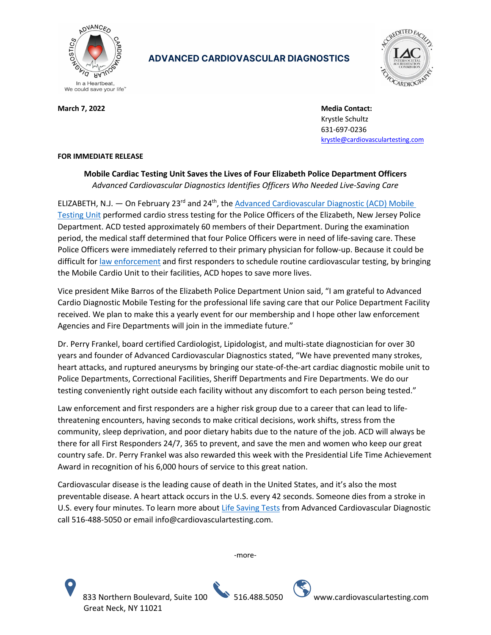

## **ADVANCED CARDIOVASCULAR DIAGNOSTICS**



**March 7, 2022** March 7, 2022 **Media Contact: Media Contact: Media Contact: Media Contact:** Krystle Schultz 631-697-0236 krystle@cardiovasculartesting.com

## **FOR IMMEDIATE RELEASE**

**Mobile Cardiac Testing Unit Saves the Lives of Four Elizabeth Police Department Officers** *Advanced Cardiovascular Diagnostics Identifies Officers Who Needed Live-Saving Care*

ELIZABETH, N.J. — On February 23<sup>rd</sup> and 24<sup>th</sup>, the Advanced Cardiovascular Diagnostic (ACD) Mobile Testing Unit performed cardio stress testing for the Police Officers of the Elizabeth, New Jersey Police Department. ACD tested approximately 60 members of their Department. During the examination period, the medical staff determined that four Police Officers were in need of life-saving care. These Police Officers were immediately referred to their primary physician for follow-up. Because it could be difficult for law enforcement and first responders to schedule routine cardiovascular testing, by bringing the Mobile Cardio Unit to their facilities, ACD hopes to save more lives.

Vice president Mike Barros of the Elizabeth Police Department Union said, "I am grateful to Advanced Cardio Diagnostic Mobile Testing for the professional life saving care that our Police Department Facility received. We plan to make this a yearly event for our membership and I hope other law enforcement Agencies and Fire Departments will join in the immediate future."

Dr. Perry Frankel, board certified Cardiologist, Lipidologist, and multi-state diagnostician for over 30 years and founder of Advanced Cardiovascular Diagnostics stated, "We have prevented many strokes, heart attacks, and ruptured aneurysms by bringing our state-of-the-art cardiac diagnostic mobile unit to Police Departments, Correctional Facilities, Sheriff Departments and Fire Departments. We do our testing conveniently right outside each facility without any discomfort to each person being tested."

Law enforcement and first responders are a higher risk group due to a career that can lead to lifethreatening encounters, having seconds to make critical decisions, work shifts, stress from the community, sleep deprivation, and poor dietary habits due to the nature of the job. ACD will always be there for all First Responders 24/7, 365 to prevent, and save the men and women who keep our great country safe. Dr. Perry Frankel was also rewarded this week with the Presidential Life Time Achievement Award in recognition of his 6,000 hours of service to this great nation.

Cardiovascular disease is the leading cause of death in the United States, and it's also the most preventable disease. A heart attack occurs in the U.S. every 42 seconds. Someone dies from a stroke in U.S. every four minutes. To learn more about Life Saving Tests from Advanced Cardiovascular Diagnostic call 516-488-5050 or email info@cardiovasculartesting.com.

-more-